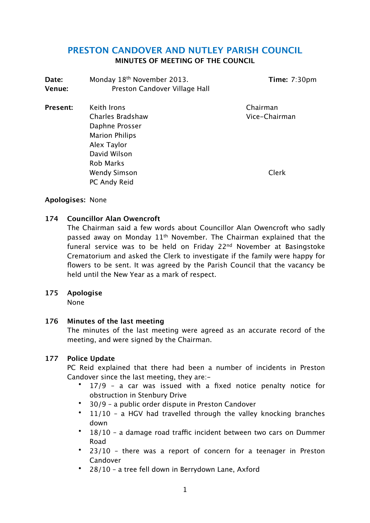# **PRESTON CANDOVER AND NUTLEY PARISH COUNCIL**

**MINUTES OF MEETING OF THE COUNCIL**

| Date:<br>Venue: | Monday 18 <sup>th</sup> November 2013.<br>Preston Candover Village Hall | Time: $7:30 \text{pm}$ |
|-----------------|-------------------------------------------------------------------------|------------------------|
| Present:        | Keith Irons                                                             | Chairman               |
|                 | Charles Bradshaw                                                        | Vice-Chairman          |
|                 | Daphne Prosser                                                          |                        |
|                 | <b>Marion Philips</b>                                                   |                        |
|                 | Alex Taylor                                                             |                        |
|                 | David Wilson                                                            |                        |
|                 | <b>Rob Marks</b>                                                        |                        |
|                 | <b>Wendy Simson</b>                                                     | Clerk                  |
|                 | PC Andy Reid                                                            |                        |

## **Apologises:** None

## **174 Councillor Alan Owencroft**

The Chairman said a few words about Councillor Alan Owencroft who sadly passed away on Monday 11<sup>th</sup> November. The Chairman explained that the funeral service was to be held on Friday 22<sup>nd</sup> November at Basingstoke Crematorium and asked the Clerk to investigate if the family were happy for flowers to be sent. It was agreed by the Parish Council that the vacancy be held until the New Year as a mark of respect.

## **175 Apologise**

None

#### **176 Minutes of the last meeting**

The minutes of the last meeting were agreed as an accurate record of the meeting, and were signed by the Chairman.

#### **177 Police Update**

PC Reid explained that there had been a number of incidents in Preston Candover since the last meeting, they are:-

- 17/9 a car was issued with a fixed notice penalty notice for obstruction in Stenbury Drive
- 30/9 a public order dispute in Preston Candover
- 11/10 a HGV had travelled through the valley knocking branches down
- 18/10 a damage road traffic incident between two cars on Dummer Road
- 23/10 there was a report of concern for a teenager in Preston Candover
- 28/10 a tree fell down in Berrydown Lane, Axford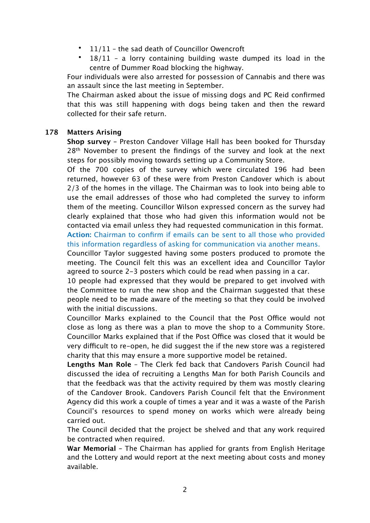- 11/11 the sad death of Councillor Owencroft
- $18/11$  a lorry containing building waste dumped its load in the centre of Dummer Road blocking the highway.

Four individuals were also arrested for possession of Cannabis and there was an assault since the last meeting in September.

The Chairman asked about the issue of missing dogs and PC Reid confirmed that this was still happening with dogs being taken and then the reward collected for their safe return.

## **178 Matters Arising**

**Shop survey –** Preston Candover Village Hall has been booked for Thursday 28<sup>th</sup> November to present the findings of the survey and look at the next steps for possibly moving towards setting up a Community Store.

Of the 700 copies of the survey which were circulated 196 had been returned, however 63 of these were from Preston Candover which is about 2/3 of the homes in the village. The Chairman was to look into being able to use the email addresses of those who had completed the survey to inform them of the meeting. Councillor Wilson expressed concern as the survey had clearly explained that those who had given this information would not be contacted via email unless they had requested communication in this format.

**Action:** Chairman to confirm if emails can be sent to all those who provided this information regardless of asking for communication via another means.

Councillor Taylor suggested having some posters produced to promote the meeting. The Council felt this was an excellent idea and Councillor Taylor agreed to source 2-3 posters which could be read when passing in a car.

10 people had expressed that they would be prepared to get involved with the Committee to run the new shop and the Chairman suggested that these people need to be made aware of the meeting so that they could be involved with the initial discussions.

Councillor Marks explained to the Council that the Post Office would not close as long as there was a plan to move the shop to a Community Store. Councillor Marks explained that if the Post Office was closed that it would be very difcult to re-open, he did suggest the if the new store was a registered charity that this may ensure a more supportive model be retained.

**Lengths Man Role** – The Clerk fed back that Candovers Parish Council had discussed the idea of recruiting a Lengths Man for both Parish Councils and that the feedback was that the activity required by them was mostly clearing of the Candover Brook. Candovers Parish Council felt that the Environment Agency did this work a couple of times a year and it was a waste of the Parish Council's resources to spend money on works which were already being carried out.

The Council decided that the project be shelved and that any work required be contracted when required.

**War Memorial –** The Chairman has applied for grants from English Heritage and the Lottery and would report at the next meeting about costs and money available.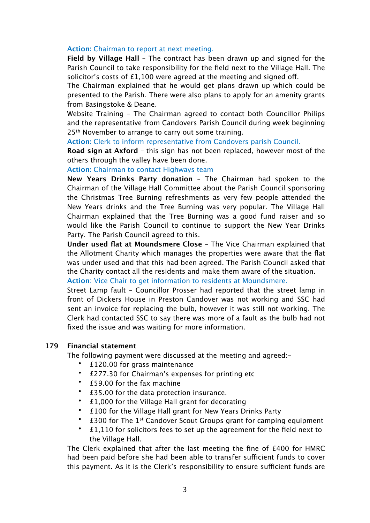#### **Action:** Chairman to report at next meeting.

**Field by Village Hall** – The contract has been drawn up and signed for the Parish Council to take responsibility for the field next to the Village Hall. The solicitor's costs of £1,100 were agreed at the meeting and signed off.

The Chairman explained that he would get plans drawn up which could be presented to the Parish. There were also plans to apply for an amenity grants from Basingstoke & Deane.

Website Training – The Chairman agreed to contact both Councillor Philips and the representative from Candovers Parish Council during week beginning 25<sup>th</sup> November to arrange to carry out some training.

**Action:** Clerk to inform representative from Candovers parish Council.

**Road sign at Axford** – this sign has not been replaced, however most of the others through the valley have been done.

**Action:** Chairman to contact Highways team

**New Years Drinks Party donation** – The Chairman had spoken to the Chairman of the Village Hall Committee about the Parish Council sponsoring the Christmas Tree Burning refreshments as very few people attended the New Years drinks and the Tree Burning was very popular. The Village Hall Chairman explained that the Tree Burning was a good fund raiser and so would like the Parish Council to continue to support the New Year Drinks Party. The Parish Council agreed to this.

**Under used flat at Moundsmere Close** – The Vice Chairman explained that the Allotment Charity which manages the properties were aware that the flat was under used and that this had been agreed. The Parish Council asked that the Charity contact all the residents and make them aware of the situation. **Action**: Vice Chair to get information to residents at Moundsmere.

Street Lamp fault – Councillor Prosser had reported that the street lamp in front of Dickers House in Preston Candover was not working and SSC had sent an invoice for replacing the bulb, however it was still not working. The Clerk had contacted SSC to say there was more of a fault as the bulb had not fixed the issue and was waiting for more information.

#### **179 Financial statement**

The following payment were discussed at the meeting and agreed:-

- £120.00 for grass maintenance
- £277.30 for Chairman's expenses for printing etc
- £59.00 for the fax machine
- £35.00 for the data protection insurance.
- £1,000 for the Village Hall grant for decorating
- £100 for the Village Hall grant for New Years Drinks Party
- £300 for The 1st Candover Scout Groups grant for camping equipment
- $f1,110$  for solicitors fees to set up the agreement for the field next to the Village Hall.

The Clerk explained that after the last meeting the fine of £400 for HMRC had been paid before she had been able to transfer sufficient funds to cover this payment. As it is the Clerk's responsibility to ensure sufficient funds are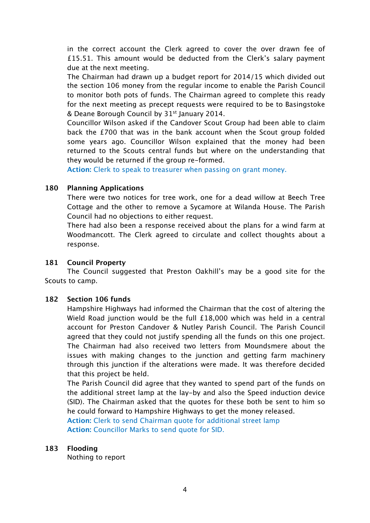in the correct account the Clerk agreed to cover the over drawn fee of £15.51. This amount would be deducted from the Clerk's salary payment due at the next meeting.

The Chairman had drawn up a budget report for 2014/15 which divided out the section 106 money from the regular income to enable the Parish Council to monitor both pots of funds. The Chairman agreed to complete this ready for the next meeting as precept requests were required to be to Basingstoke & Deane Borough Council by 31st January 2014.

Councillor Wilson asked if the Candover Scout Group had been able to claim back the £700 that was in the bank account when the Scout group folded some years ago. Councillor Wilson explained that the money had been returned to the Scouts central funds but where on the understanding that they would be returned if the group re-formed.

**Action:** Clerk to speak to treasurer when passing on grant money.

## **180 Planning Applications**

There were two notices for tree work, one for a dead willow at Beech Tree Cottage and the other to remove a Sycamore at Wilanda House. The Parish Council had no objections to either request.

There had also been a response received about the plans for a wind farm at Woodmancott. The Clerk agreed to circulate and collect thoughts about a response.

## **181 Council Property**

The Council suggested that Preston Oakhill's may be a good site for the Scouts to camp.

## **182 Section 106 funds**

Hampshire Highways had informed the Chairman that the cost of altering the Wield Road junction would be the full £18,000 which was held in a central account for Preston Candover & Nutley Parish Council. The Parish Council agreed that they could not justify spending all the funds on this one project. The Chairman had also received two letters from Moundsmere about the issues with making changes to the junction and getting farm machinery through this junction if the alterations were made. It was therefore decided that this project be held.

The Parish Council did agree that they wanted to spend part of the funds on the additional street lamp at the lay-by and also the Speed induction device (SID). The Chairman asked that the quotes for these both be sent to him so he could forward to Hampshire Highways to get the money released.

**Action:** Clerk to send Chairman quote for additional street lamp **Action:** Councillor Marks to send quote for SID.

## **183 Flooding**

Nothing to report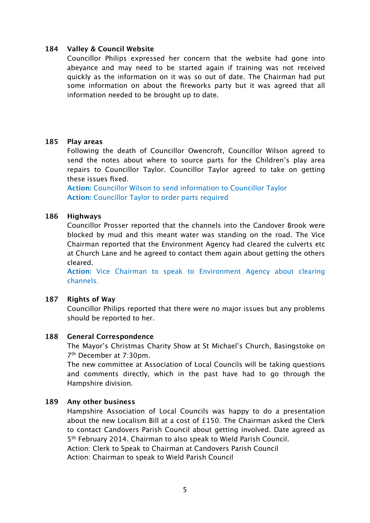#### **184 Valley & Council Website**

Councillor Philips expressed her concern that the website had gone into abeyance and may need to be started again if training was not received quickly as the information on it was so out of date. The Chairman had put some information on about the fireworks party but it was agreed that all information needed to be brought up to date.

## **185 Play areas**

Following the death of Councillor Owencroft, Councillor Wilson agreed to send the notes about where to source parts for the Children's play area repairs to Councillor Taylor. Councillor Taylor agreed to take on getting these issues fixed.

**Action:** Councillor Wilson to send information to Councillor Taylor **Action:** Councillor Taylor to order parts required

## **186 Highways**

Councillor Prosser reported that the channels into the Candover Brook were blocked by mud and this meant water was standing on the road. The Vice Chairman reported that the Environment Agency had cleared the culverts etc at Church Lane and he agreed to contact them again about getting the others cleared.

**Action:** Vice Chairman to speak to Environment Agency about clearing channels.

#### **187 Rights of Way**

Councillor Philips reported that there were no major issues but any problems should be reported to her.

#### **188 General Correspondence**

The Mayor's Christmas Charity Show at St Michael's Church, Basingstoke on 7th December at 7:30pm.

The new committee at Association of Local Councils will be taking questions and comments directly, which in the past have had to go through the Hampshire division.

#### **189 Any other business**

Hampshire Association of Local Councils was happy to do a presentation about the new Localism Bill at a cost of  $f150$ . The Chairman asked the Clerk to contact Candovers Parish Council about getting involved. Date agreed as 5th February 2014. Chairman to also speak to Wield Parish Council. Action: Clerk to Speak to Chairman at Candovers Parish Council Action: Chairman to speak to Wield Parish Council